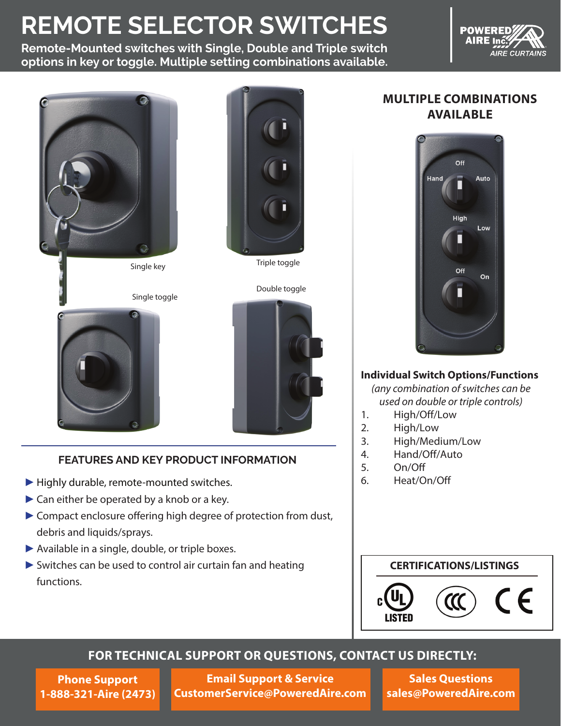# **REMOTE SELECTOR SWITCHES**

**Remote-Mounted switches with Single, Double and Triple switch options in key or toggle. Multiple setting combinations available.**







Double toggle





#### **FEATURES AND KEY PRODUCT INFORMATION**

- ▶ Highly durable, remote-mounted switches.
- ► Can either be operated by a knob or a key.
- ► Compact enclosure offering high degree of protection from dust, debris and liquids/sprays.
- ▶ Available in a single, double, or triple boxes.
- ► Switches can be used to control air curtain fan and heating functions.

### **MULTIPLE COMBINATIONS AVAILABLE**



#### **Individual Switch Options/Functions**

*(any combination of switches can be used on double or triple controls)*

- 1. High/Off/Low
- 2. High/Low
- 3. High/Medium/Low
- 4. Hand/Off/Auto
- 5. On/Off
- 6. Heat/On/Off

#### **CERTIFICATIONS/LISTINGS**



## **FOR TECHNICAL SUPPORT OR QUESTIONS, CONTACT US DIRECTLY:**

**Phone Support 1-888-321-Aire (2473)**

**Email Support & Service CustomerService@PoweredAire.com**

**Sales Questions sales@PoweredAire.com**